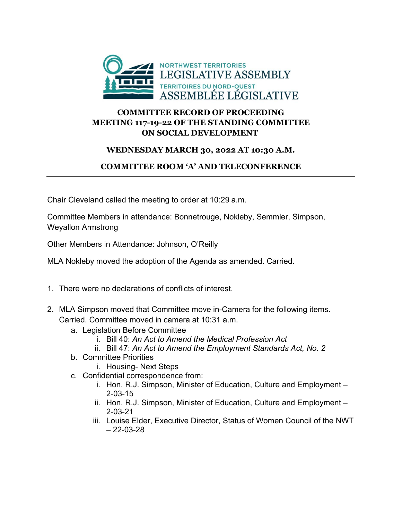

## **COMMITTEE RECORD OF PROCEEDING MEETING 117-19-22 OF THE STANDING COMMITTEE ON SOCIAL DEVELOPMENT**

## **WEDNESDAY MARCH 30, 2022 AT 10:30 A.M.**

## **COMMITTEE ROOM 'A' AND TELECONFERENCE**

Chair Cleveland called the meeting to order at 10:29 a.m.

Committee Members in attendance: Bonnetrouge, Nokleby, Semmler, Simpson, Weyallon Armstrong

Other Members in Attendance: Johnson, O'Reilly

MLA Nokleby moved the adoption of the Agenda as amended. Carried.

- 1. There were no declarations of conflicts of interest.
- 2. MLA Simpson moved that Committee move in-Camera for the following items. Carried. Committee moved in camera at 10:31 a.m.
	- a. Legislation Before Committee
		- i. Bill 40: *An Act to Amend the Medical Profession Act*
		- ii. Bill 47: *An Act to Amend the Employment Standards Act, No. 2*
	- b. Committee Priorities
		- i. Housing- Next Steps
	- c. Confidential correspondence from:
		- i. Hon. R.J. Simpson, Minister of Education, Culture and Employment 2-03-15
		- ii. Hon. R.J. Simpson, Minister of Education, Culture and Employment 2-03-21
		- iii. Louise Elder, Executive Director, Status of Women Council of the NWT  $-22 - 03 - 28$